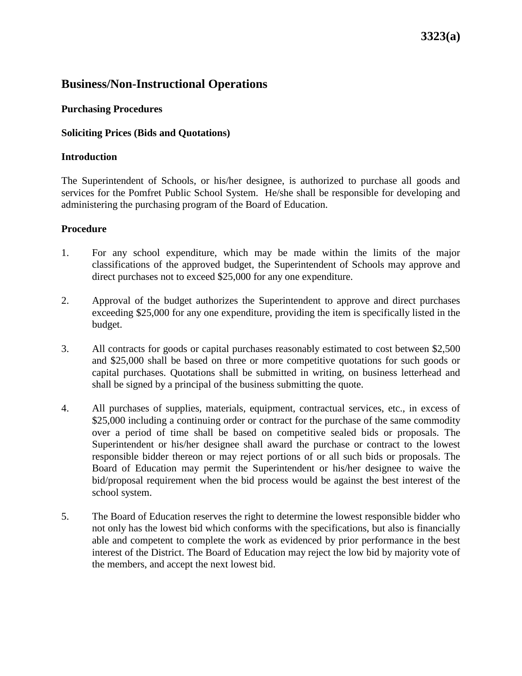# **Business/Non-Instructional Operations**

### **Purchasing Procedures**

### **Soliciting Prices (Bids and Quotations)**

### **Introduction**

The Superintendent of Schools, or his/her designee, is authorized to purchase all goods and services for the Pomfret Public School System. He/she shall be responsible for developing and administering the purchasing program of the Board of Education.

### **Procedure**

- 1. For any school expenditure, which may be made within the limits of the major classifications of the approved budget, the Superintendent of Schools may approve and direct purchases not to exceed \$25,000 for any one expenditure.
- 2. Approval of the budget authorizes the Superintendent to approve and direct purchases exceeding \$25,000 for any one expenditure, providing the item is specifically listed in the budget.
- 3. All contracts for goods or capital purchases reasonably estimated to cost between \$2,500 and \$25,000 shall be based on three or more competitive quotations for such goods or capital purchases. Quotations shall be submitted in writing, on business letterhead and shall be signed by a principal of the business submitting the quote.
- 4. All purchases of supplies, materials, equipment, contractual services, etc., in excess of \$25,000 including a continuing order or contract for the purchase of the same commodity over a period of time shall be based on competitive sealed bids or proposals. The Superintendent or his/her designee shall award the purchase or contract to the lowest responsible bidder thereon or may reject portions of or all such bids or proposals. The Board of Education may permit the Superintendent or his/her designee to waive the bid/proposal requirement when the bid process would be against the best interest of the school system.
- 5. The Board of Education reserves the right to determine the lowest responsible bidder who not only has the lowest bid which conforms with the specifications, but also is financially able and competent to complete the work as evidenced by prior performance in the best interest of the District. The Board of Education may reject the low bid by majority vote of the members, and accept the next lowest bid.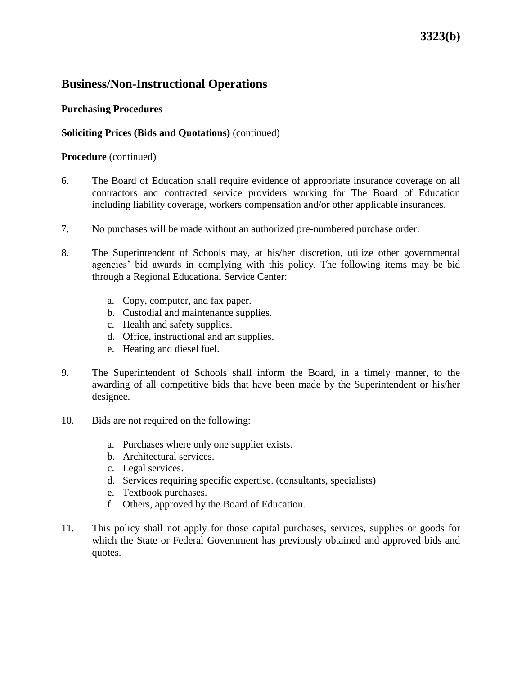# **Business/Non-Instructional Operations**

### **Purchasing Procedures**

### **Soliciting Prices (Bids and Quotations)** (continued)

#### **Procedure** (continued)

- 6. The Board of Education shall require evidence of appropriate insurance coverage on all contractors and contracted service providers working for The Board of Education including liability coverage, workers compensation and/or other applicable insurances.
- 7. No purchases will be made without an authorized pre-numbered purchase order.
- 8. The Superintendent of Schools may, at his/her discretion, utilize other governmental agencies' bid awards in complying with this policy. The following items may be bid through a Regional Educational Service Center:
	- a. Copy, computer, and fax paper.
	- b. Custodial and maintenance supplies.
	- c. Health and safety supplies.
	- d. Office, instructional and art supplies.
	- e. Heating and diesel fuel.
- 9. The Superintendent of Schools shall inform the Board, in a timely manner, to the awarding of all competitive bids that have been made by the Superintendent or his/her designee.
- 10. Bids are not required on the following:
	- a. Purchases where only one supplier exists.
	- b. Architectural services.
	- c. Legal services.
	- d. Services requiring specific expertise. (consultants, specialists)
	- e. Textbook purchases.
	- f. Others, approved by the Board of Education.
- 11. This policy shall not apply for those capital purchases, services, supplies or goods for which the State or Federal Government has previously obtained and approved bids and quotes.